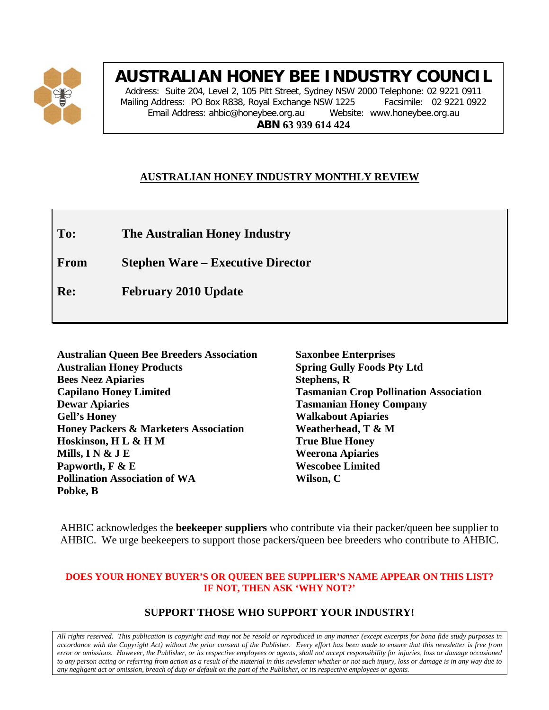

### **AUSTRALIAN HONEY BEE INDUSTRY COUNCIL**

Address: Suite 204, Level 2, 105 Pitt Street, Sydney NSW 2000 Telephone: 02 9221 0911 Mailing Address: PO Box R838, Royal Exchange NSW 1225 Facsimile: 02 9221 0922 Email Address: ahbic@honeybee.org.au Website: www.honeybee.org.au **ABN 63 939 614 424**

#### **AUSTRALIAN HONEY INDUSTRY MONTHLY REVIEW**

**To: The Australian Honey Industry**

**From Stephen Ware – Executive Director**

**Re: February 2010 Update**

| <b>Australian Queen Bee Breeders Association</b> |
|--------------------------------------------------|
| <b>Australian Honey Products</b>                 |
| <b>Bees Neez Apiaries</b>                        |
| <b>Capilano Honey Limited</b>                    |
| <b>Dewar Apiaries</b>                            |
| <b>Gell's Honey</b>                              |
| <b>Honey Packers &amp; Marketers Association</b> |
| Hoskinson, H L & H M                             |
| Mills, I N $&$ J E                               |
| Papworth, F & E                                  |
| <b>Pollination Association of WA</b>             |
| Pobke, B                                         |

**Saxonbee Enterprises Spring Gully Foods Pty Ltd Stephens, R Tasmanian Crop Pollination Association Tasmanian Honey Company Walkabout Apiaries Weatherhead, T & M True Blue Honey Weerona Apiaries Wescobee Limited Wilson, C**

AHBIC acknowledges the **beekeeper suppliers** who contribute via their packer/queen bee supplier to AHBIC. We urge beekeepers to support those packers/queen bee breeders who contribute to AHBIC.

#### **DOES YOUR HONEY BUYER'S OR QUEEN BEE SUPPLIER'S NAME APPEAR ON THIS LIST? IF NOT, THEN ASK 'WHY NOT?'**

#### **SUPPORT THOSE WHO SUPPORT YOUR INDUSTRY!**

*All rights reserved. This publication is copyright and may not be resold or reproduced in any manner (except excerpts for bona fide study purposes in accordance with the Copyright Act) without the prior consent of the Publisher. Every effort has been made to ensure that this newsletter is free from error or omissions. However, the Publisher, or its respective employees or agents, shall not accept responsibility for injuries, loss or damage occasioned to any person acting or referring from action as a result of the material in this newsletter whether or not such injury, loss or damage is in any way due to any negligent act or omission, breach of duty or default on the part of the Publisher, or its respective employees or agents.*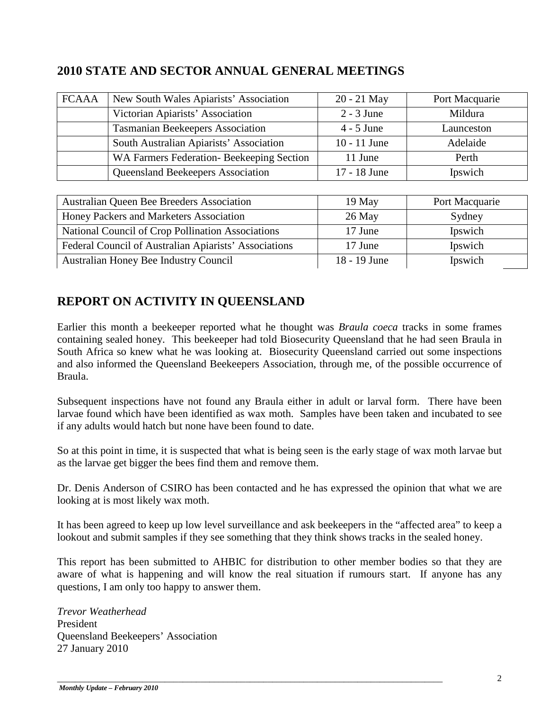#### **2010 STATE AND SECTOR ANNUAL GENERAL MEETINGS**

| <b>FCAAA</b> | New South Wales Apiarists' Association   | 20 - 21 May    | Port Macquarie |
|--------------|------------------------------------------|----------------|----------------|
|              | Victorian Apiarists' Association         | $2 - 3$ June   | Mildura        |
|              | <b>Tasmanian Beekeepers Association</b>  | $4 - 5$ June   | Launceston     |
|              | South Australian Apiarists' Association  | $10 - 11$ June | Adelaide       |
|              | WA Farmers Federation-Beekeeping Section | 11 June        | Perth          |
|              | Queensland Beekeepers Association        | 17 - 18 June   | Ipswich        |
|              |                                          |                |                |

| Australian Queen Bee Breeders Association             | $19$ May       | Port Macquarie |
|-------------------------------------------------------|----------------|----------------|
| Honey Packers and Marketers Association               | $26$ May       | Sydney         |
| National Council of Crop Pollination Associations     | 17 June        | Ipswich        |
| Federal Council of Australian Apiarists' Associations | 17 June        | Ipswich        |
| Australian Honey Bee Industry Council                 | $18 - 19$ June | Ipswich        |

#### **REPORT ON ACTIVITY IN QUEENSLAND**

Earlier this month a beekeeper reported what he thought was *Braula coeca* tracks in some frames containing sealed honey. This beekeeper had told Biosecurity Queensland that he had seen Braula in South Africa so knew what he was looking at. Biosecurity Queensland carried out some inspections and also informed the Queensland Beekeepers Association, through me, of the possible occurrence of Braula.

Subsequent inspections have not found any Braula either in adult or larval form. There have been larvae found which have been identified as wax moth. Samples have been taken and incubated to see if any adults would hatch but none have been found to date.

So at this point in time, it is suspected that what is being seen is the early stage of wax moth larvae but as the larvae get bigger the bees find them and remove them.

Dr. Denis Anderson of CSIRO has been contacted and he has expressed the opinion that what we are looking at is most likely wax moth.

It has been agreed to keep up low level surveillance and ask beekeepers in the "affected area" to keep a lookout and submit samples if they see something that they think shows tracks in the sealed honey.

This report has been submitted to AHBIC for distribution to other member bodies so that they are aware of what is happening and will know the real situation if rumours start. If anyone has any questions, I am only too happy to answer them.

*Trevor Weatherhead* President Queensland Beekeepers' Association 27 January 2010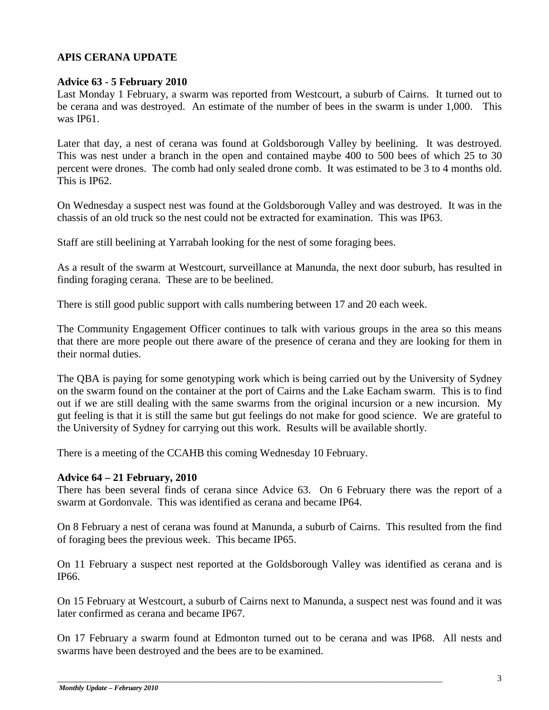#### **APIS CERANA UPDATE**

#### **Advice 63 - 5 February 2010**

Last Monday 1 February, a swarm was reported from Westcourt, a suburb of Cairns. It turned out to be cerana and was destroyed. An estimate of the number of bees in the swarm is under 1,000. This was IP61.

Later that day, a nest of cerana was found at Goldsborough Valley by beelining. It was destroyed. This was nest under a branch in the open and contained maybe 400 to 500 bees of which 25 to 30 percent were drones. The comb had only sealed drone comb. It was estimated to be 3 to 4 months old. This is IP62.

On Wednesday a suspect nest was found at the Goldsborough Valley and was destroyed. It was in the chassis of an old truck so the nest could not be extracted for examination. This was IP63.

Staff are still beelining at Yarrabah looking for the nest of some foraging bees.

As a result of the swarm at Westcourt, surveillance at Manunda, the next door suburb, has resulted in finding foraging cerana. These are to be beelined.

There is still good public support with calls numbering between 17 and 20 each week.

The Community Engagement Officer continues to talk with various groups in the area so this means that there are more people out there aware of the presence of cerana and they are looking for them in their normal duties.

The QBA is paying for some genotyping work which is being carried out by the University of Sydney on the swarm found on the container at the port of Cairns and the Lake Eacham swarm. This is to find out if we are still dealing with the same swarms from the original incursion or a new incursion. My gut feeling is that it is still the same but gut feelings do not make for good science. We are grateful to the University of Sydney for carrying out this work. Results will be available shortly.

There is a meeting of the CCAHB this coming Wednesday 10 February.

#### **Advice 64 – 21 February, 2010**

There has been several finds of cerana since Advice 63. On 6 February there was the report of a swarm at Gordonvale. This was identified as cerana and became IP64.

On 8 February a nest of cerana was found at Manunda, a suburb of Cairns. This resulted from the find of foraging bees the previous week. This became IP65.

On 11 February a suspect nest reported at the Goldsborough Valley was identified as cerana and is IP66.

On 15 February at Westcourt, a suburb of Cairns next to Manunda, a suspect nest was found and it was later confirmed as cerana and became IP67.

On 17 February a swarm found at Edmonton turned out to be cerana and was IP68. All nests and swarms have been destroyed and the bees are to be examined.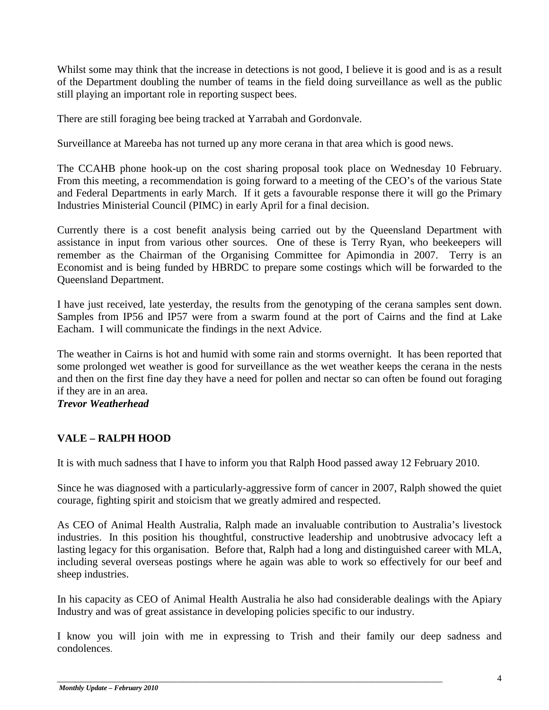Whilst some may think that the increase in detections is not good, I believe it is good and is as a result of the Department doubling the number of teams in the field doing surveillance as well as the public still playing an important role in reporting suspect bees.

There are still foraging bee being tracked at Yarrabah and Gordonvale.

Surveillance at Mareeba has not turned up any more cerana in that area which is good news.

The CCAHB phone hook-up on the cost sharing proposal took place on Wednesday 10 February. From this meeting, a recommendation is going forward to a meeting of the CEO's of the various State and Federal Departments in early March. If it gets a favourable response there it will go the Primary Industries Ministerial Council (PIMC) in early April for a final decision.

Currently there is a cost benefit analysis being carried out by the Queensland Department with assistance in input from various other sources. One of these is Terry Ryan, who beekeepers will remember as the Chairman of the Organising Committee for Apimondia in 2007. Terry is an Economist and is being funded by HBRDC to prepare some costings which will be forwarded to the Queensland Department.

I have just received, late yesterday, the results from the genotyping of the cerana samples sent down. Samples from IP56 and IP57 were from a swarm found at the port of Cairns and the find at Lake Eacham. I will communicate the findings in the next Advice.

The weather in Cairns is hot and humid with some rain and storms overnight. It has been reported that some prolonged wet weather is good for surveillance as the wet weather keeps the cerana in the nests and then on the first fine day they have a need for pollen and nectar so can often be found out foraging if they are in an area.

*Trevor Weatherhead*

#### **VALE – RALPH HOOD**

It is with much sadness that I have to inform you that Ralph Hood passed away 12 February 2010.

Since he was diagnosed with a particularly-aggressive form of cancer in 2007, Ralph showed the quiet courage, fighting spirit and stoicism that we greatly admired and respected.

As CEO of Animal Health Australia, Ralph made an invaluable contribution to Australia's livestock industries. In this position his thoughtful, constructive leadership and unobtrusive advocacy left a lasting legacy for this organisation. Before that, Ralph had a long and distinguished career with MLA, including several overseas postings where he again was able to work so effectively for our beef and sheep industries.

In his capacity as CEO of Animal Health Australia he also had considerable dealings with the Apiary Industry and was of great assistance in developing policies specific to our industry.

I know you will join with me in expressing to Trish and their family our deep sadness and condolences.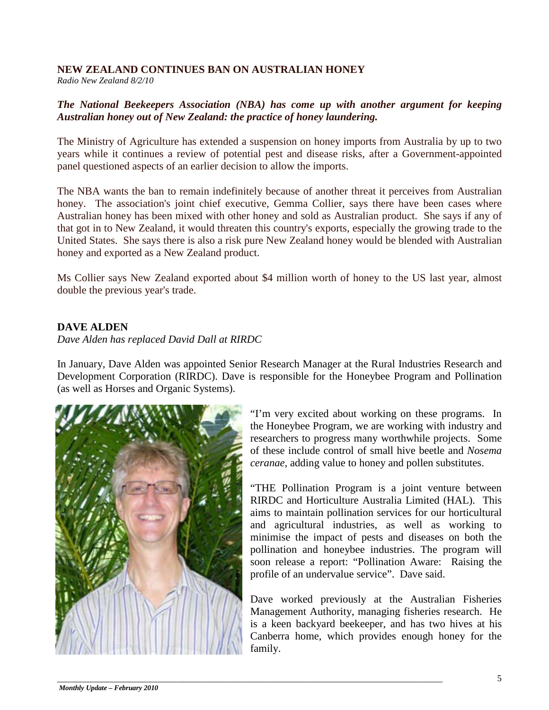#### **NEW ZEALAND CONTINUES BAN ON AUSTRALIAN HONEY**

*Radio New Zealand 8/2/10*

#### *The National Beekeepers Association (NBA) has come up with another argument for keeping Australian honey out of New Zealand: the practice of honey laundering.*

The Ministry of Agriculture has extended a suspension on honey imports from Australia by up to two years while it continues a review of potential pest and disease risks, after a Government-appointed panel questioned aspects of an earlier decision to allow the imports.

The NBA wants the ban to remain indefinitely because of another threat it perceives from Australian honey. The association's joint chief executive, Gemma Collier, says there have been cases where Australian honey has been mixed with other honey and sold as Australian product. She says if any of that got in to New Zealand, it would threaten this country's exports, especially the growing trade to the United States. She says there is also a risk pure New Zealand honey would be blended with Australian honey and exported as a New Zealand product.

Ms Collier says New Zealand exported about \$4 million worth of honey to the US last year, almost double the previous year's trade.

#### **DAVE ALDEN**

*Dave Alden has replaced David Dall at RIRDC*

In January, Dave Alden was appointed Senior Research Manager at the Rural Industries Research and Development Corporation (RIRDC). Dave is responsible for the Honeybee Program and Pollination (as well as Horses and Organic Systems).



"I'm very excited about working on these programs. In the Honeybee Program, we are working with industry and researchers to progress many worthwhile projects. Some of these include control of small hive beetle and *Nosema ceranae*, adding value to honey and pollen substitutes.

"THE Pollination Program is a joint venture between RIRDC and Horticulture Australia Limited (HAL). This aims to maintain pollination services for our horticultural and agricultural industries, as well as working to minimise the impact of pests and diseases on both the pollination and honeybee industries. The program will soon release a report: "Pollination Aware: Raising the profile of an undervalue service". Dave said.

Dave worked previously at the Australian Fisheries Management Authority, managing fisheries research. He is a keen backyard beekeeper, and has two hives at his Canberra home, which provides enough honey for the family.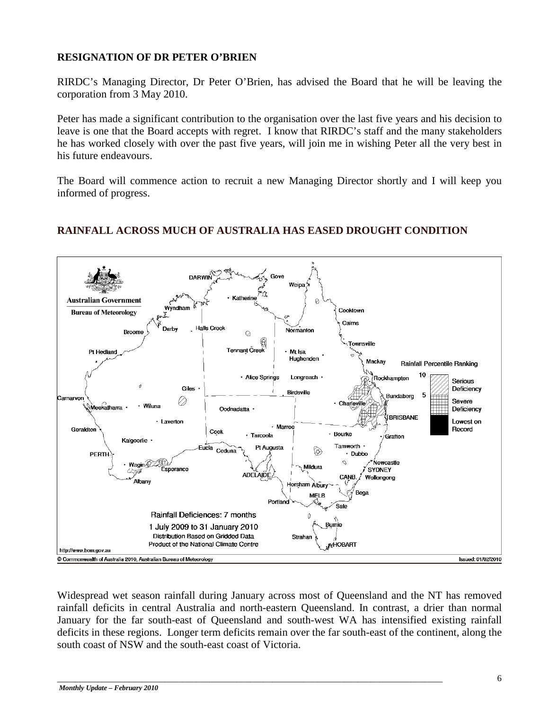#### **RESIGNATION OF DR PETER O'BRIEN**

RIRDC's Managing Director, Dr Peter O'Brien, has advised the Board that he will be leaving the corporation from 3 May 2010.

Peter has made a significant contribution to the organisation over the last five years and his decision to leave is one that the Board accepts with regret. I know that RIRDC's staff and the many stakeholders he has worked closely with over the past five years, will join me in wishing Peter all the very best in his future endeavours.

The Board will commence action to recruit a new Managing Director shortly and I will keep you informed of progress.



#### **RAINFALL ACROSS MUCH OF AUSTRALIA HAS EASED DROUGHT CONDITION**

Widespread wet season rainfall during January across most of Queensland and the NT has removed rainfall deficits in central Australia and north-eastern Queensland. In contrast, a drier than normal January for the far south-east of Queensland and south-west WA has intensified existing rainfall deficits in these regions. Longer term deficits remain over the far south-east of the continent, along the south coast of NSW and the south-east coast of Victoria.

\_\_\_\_\_\_\_\_\_\_\_\_\_\_\_\_\_\_\_\_\_\_\_\_\_\_\_\_\_\_\_\_\_\_\_\_\_\_\_\_\_\_\_\_\_\_\_\_\_\_\_\_\_\_\_\_\_\_\_\_\_\_\_\_\_\_\_\_\_\_\_\_\_\_\_\_\_\_\_\_\_\_\_\_\_\_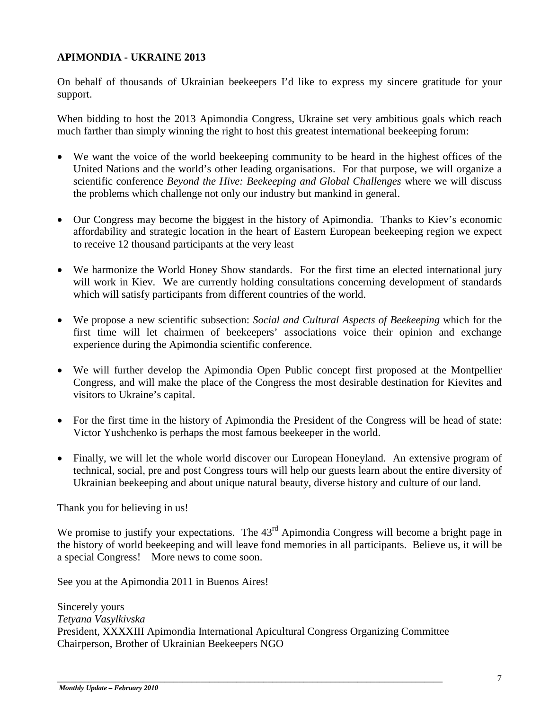#### **APIMONDIA - UKRAINE 2013**

On behalf of thousands of Ukrainian beekeepers I'd like to express my sincere gratitude for your support.

When bidding to host the 2013 Apimondia Congress, Ukraine set very ambitious goals which reach much farther than simply winning the right to host this greatest international beekeeping forum:

- We want the voice of the world beekeeping community to be heard in the highest offices of the United Nations and the world's other leading organisations. For that purpose, we will organize a scientific conference *Beyond the Hive: Beekeeping and Global Challenges* where we will discuss the problems which challenge not only our industry but mankind in general.
- Our Congress may become the biggest in the history of Apimondia. Thanks to Kiev's economic affordability and strategic location in the heart of Eastern European beekeeping region we expect to receive 12 thousand participants at the very least
- We harmonize the World Honey Show standards. For the first time an elected international jury will work in Kiev. We are currently holding consultations concerning development of standards which will satisfy participants from different countries of the world.
- We propose a new scientific subsection: *Social and Cultural Aspects of Beekeeping* which for the first time will let chairmen of beekeepers' associations voice their opinion and exchange experience during the Apimondia scientific conference.
- We will further develop the Apimondia Open Public concept first proposed at the Montpellier Congress, and will make the place of the Congress the most desirable destination for Kievites and visitors to Ukraine's capital.
- For the first time in the history of Apimondia the President of the Congress will be head of state: Victor Yushchenko is perhaps the most famous beekeeper in the world.
- Finally, we will let the whole world discover our European Honeyland. An extensive program of technical, social, pre and post Congress tours will help our guests learn about the entire diversity of Ukrainian beekeeping and about unique natural beauty, diverse history and culture of our land.

Thank you for believing in us!

We promise to justify your expectations. The 43<sup>rd</sup> Apimondia Congress will become a bright page in the history of world beekeeping and will leave fond memories in all participants. Believe us, it will be a special Congress! More news to come soon.

See you at the Apimondia 2011 in Buenos Aires!

Sincerely yours *Tetyana Vasylkivska* President, XXXXIII Apimondia International Apicultural Congress Organizing Committee Chairperson, Brother of Ukrainian Beekeepers NGO